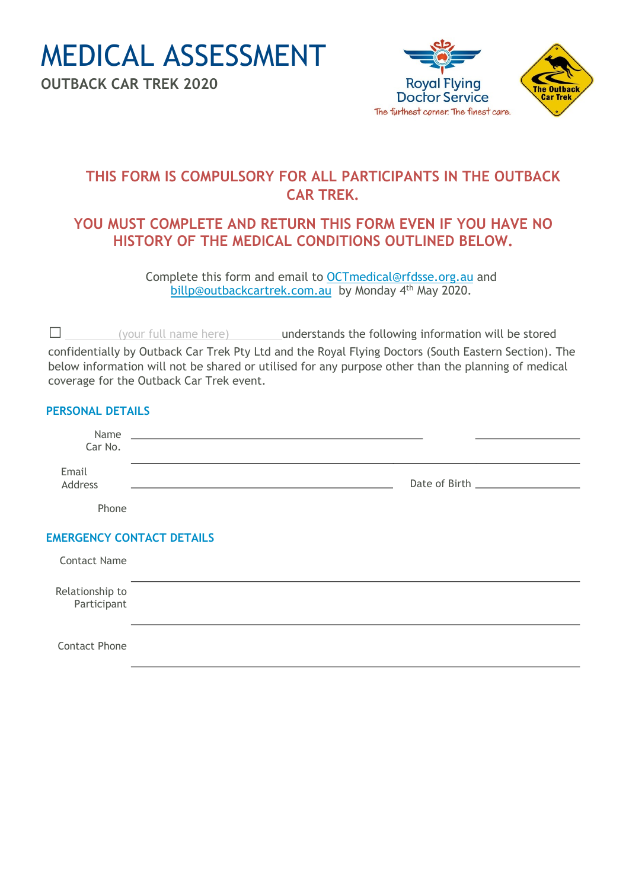MEDICAL ASSESSMENT

**OUTBACK CAR TREK 2020**



## **THIS FORM IS COMPULSORY FOR ALL PARTICIPANTS IN THE OUTBACK CAR TREK.**

### **YOU MUST COMPLETE AND RETURN THIS FORM EVEN IF YOU HAVE NO HISTORY OF THE MEDICAL CONDITIONS OUTLINED BELOW.**

Complete this form and email to OCTmedical@rfdsse.org.au and billp@outbackcartrek.com.au by Monday 4<sup>th</sup> May 2020.

 $\square$  (your full name here) understands the following information will be stored confidentially by Outback Car Trek Pty Ltd and the Royal Flying Doctors (South Eastern Section). The below information will not be shared or utilised for any purpose other than the planning of medical coverage for the Outback Car Trek event.

#### **PERSONAL DETAILS**

| Name<br>Car No.                  | <u> 1989 - Johann John Stein, markin fyrstu og fyrir og fyrir og fyrir og fyrir og fyrir og fyrir og fyrir og fy</u> |  |  |  |
|----------------------------------|----------------------------------------------------------------------------------------------------------------------|--|--|--|
| Email<br>Address                 |                                                                                                                      |  |  |  |
| Phone                            |                                                                                                                      |  |  |  |
| <b>EMERGENCY CONTACT DETAILS</b> |                                                                                                                      |  |  |  |
| <b>Contact Name</b>              |                                                                                                                      |  |  |  |
| Relationship to<br>Participant   |                                                                                                                      |  |  |  |
| <b>Contact Phone</b>             |                                                                                                                      |  |  |  |